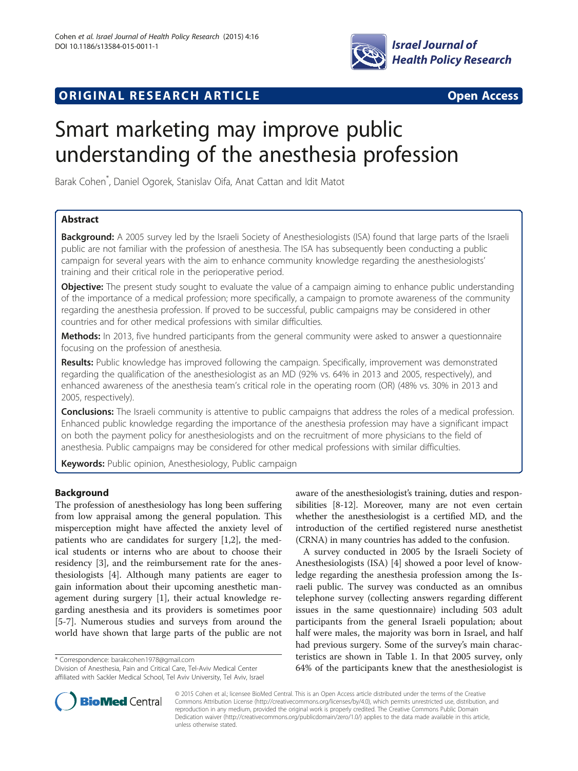

# **ORIGINAL RESEARCH ARTICLE CONSUMING ACCESS**

# Smart marketing may improve public understanding of the anesthesia profession

Barak Cohen\* , Daniel Ogorek, Stanislav Oifa, Anat Cattan and Idit Matot

# Abstract

Background: A 2005 survey led by the Israeli Society of Anesthesiologists (ISA) found that large parts of the Israeli public are not familiar with the profession of anesthesia. The ISA has subsequently been conducting a public campaign for several years with the aim to enhance community knowledge regarding the anesthesiologists' training and their critical role in the perioperative period.

**Objective:** The present study sought to evaluate the value of a campaign aiming to enhance public understanding of the importance of a medical profession; more specifically, a campaign to promote awareness of the community regarding the anesthesia profession. If proved to be successful, public campaigns may be considered in other countries and for other medical professions with similar difficulties.

Methods: In 2013, five hundred participants from the general community were asked to answer a questionnaire focusing on the profession of anesthesia.

Results: Public knowledge has improved following the campaign. Specifically, improvement was demonstrated regarding the qualification of the anesthesiologist as an MD (92% vs. 64% in 2013 and 2005, respectively), and enhanced awareness of the anesthesia team's critical role in the operating room (OR) (48% vs. 30% in 2013 and 2005, respectively).

**Conclusions:** The Israeli community is attentive to public campaigns that address the roles of a medical profession. Enhanced public knowledge regarding the importance of the anesthesia profession may have a significant impact on both the payment policy for anesthesiologists and on the recruitment of more physicians to the field of anesthesia. Public campaigns may be considered for other medical professions with similar difficulties.

Keywords: Public opinion, Anesthesiology, Public campaign

# Background

The profession of anesthesiology has long been suffering from low appraisal among the general population. This misperception might have affected the anxiety level of patients who are candidates for surgery [[1,2\]](#page-6-0), the medical students or interns who are about to choose their residency [[3\]](#page-6-0), and the reimbursement rate for the anesthesiologists [[4\]](#page-6-0). Although many patients are eager to gain information about their upcoming anesthetic management during surgery [\[1](#page-6-0)], their actual knowledge regarding anesthesia and its providers is sometimes poor [[5-7](#page-6-0)]. Numerous studies and surveys from around the world have shown that large parts of the public are not

\* Correspondence: [barakcohen1978@gmail.com](mailto:barakcohen1978@gmail.com)

Division of Anesthesia, Pain and Critical Care, Tel-Aviv Medical Center affiliated with Sackler Medical School, Tel Aviv University, Tel Aviv, Israel



A survey conducted in 2005 by the Israeli Society of Anesthesiologists (ISA) [\[4\]](#page-6-0) showed a poor level of knowledge regarding the anesthesia profession among the Israeli public. The survey was conducted as an omnibus telephone survey (collecting answers regarding different issues in the same questionnaire) including 503 adult participants from the general Israeli population; about half were males, the majority was born in Israel, and half had previous surgery. Some of the survey's main characteristics are shown in Table [1](#page-1-0). In that 2005 survey, only 64% of the participants knew that the anesthesiologist is



© 2015 Cohen et al.; licensee BioMed Central. This is an Open Access article distributed under the terms of the Creative Commons Attribution License [\(http://creativecommons.org/licenses/by/4.0\)](http://creativecommons.org/licenses/by/4.0), which permits unrestricted use, distribution, and reproduction in any medium, provided the original work is properly credited. The Creative Commons Public Domain Dedication waiver [\(http://creativecommons.org/publicdomain/zero/1.0/](http://creativecommons.org/publicdomain/zero/1.0/)) applies to the data made available in this article, unless otherwise stated.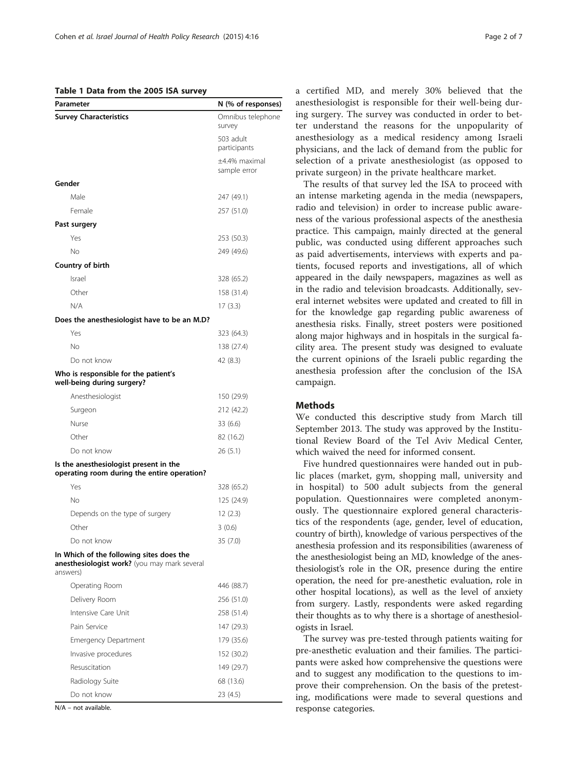#### <span id="page-1-0"></span>Table 1 Data from the 2005 ISA survey

| Parameter                                                                                            | N (% of responses)            |
|------------------------------------------------------------------------------------------------------|-------------------------------|
| <b>Survey Characteristics</b>                                                                        | Omnibus telephone<br>survey   |
|                                                                                                      | 503 adult<br>participants     |
|                                                                                                      | ±4.4% maximal<br>sample error |
| Gender                                                                                               |                               |
| Male                                                                                                 | 247 (49.1)                    |
| Female                                                                                               | 257 (51.0)                    |
| Past surgery                                                                                         |                               |
| Yes                                                                                                  | 253 (50.3)                    |
| No                                                                                                   | 249 (49.6)                    |
| Country of birth                                                                                     |                               |
| Israel                                                                                               | 328 (65.2)                    |
| Other                                                                                                | 158 (31.4)                    |
| N/A                                                                                                  | 17(3.3)                       |
| Does the anesthesiologist have to be an M.D?                                                         |                               |
| Yes                                                                                                  | 323 (64.3)                    |
| No                                                                                                   | 138 (27.4)                    |
| Do not know                                                                                          | 42 (8.3)                      |
| Who is responsible for the patient's<br>well-being during surgery?                                   |                               |
| Anesthesiologist                                                                                     | 150 (29.9)                    |
| Surgeon                                                                                              | 212 (42.2)                    |
| Nurse                                                                                                | 33 (6.6)                      |
| Other                                                                                                | 82 (16.2)                     |
| Do not know                                                                                          | 26 (5.1)                      |
| Is the anesthesiologist present in the<br>operating room during the entire operation?                |                               |
| Yes                                                                                                  | 328 (65.2)                    |
| No                                                                                                   | 125 (24.9)                    |
| Depends on the type of surgery                                                                       | 12(2.3)                       |
| Other                                                                                                | 3(0.6)                        |
| Do not know                                                                                          | 35 (7.0)                      |
| In Which of the following sites does the<br>anesthesiologist work? (you may mark several<br>answers) |                               |
| Operating Room                                                                                       | 446 (88.7)                    |
| Delivery Room                                                                                        | 256 (51.0)                    |
| Intensive Care Unit                                                                                  | 258 (51.4)                    |
| Pain Service                                                                                         | 147 (29.3)                    |
| <b>Emergency Department</b>                                                                          | 179 (35.6)                    |
| Invasive procedures                                                                                  | 152 (30.2)                    |
| Resuscitation                                                                                        | 149 (29.7)                    |
| Radiology Suite                                                                                      | 68 (13.6)                     |
| Do not know                                                                                          | 23 (4.5)                      |

N/A – not available.

a certified MD, and merely 30% believed that the anesthesiologist is responsible for their well-being during surgery. The survey was conducted in order to better understand the reasons for the unpopularity of anesthesiology as a medical residency among Israeli physicians, and the lack of demand from the public for selection of a private anesthesiologist (as opposed to private surgeon) in the private healthcare market.

The results of that survey led the ISA to proceed with an intense marketing agenda in the media (newspapers, radio and television) in order to increase public awareness of the various professional aspects of the anesthesia practice. This campaign, mainly directed at the general public, was conducted using different approaches such as paid advertisements, interviews with experts and patients, focused reports and investigations, all of which appeared in the daily newspapers, magazines as well as in the radio and television broadcasts. Additionally, several internet websites were updated and created to fill in for the knowledge gap regarding public awareness of anesthesia risks. Finally, street posters were positioned along major highways and in hospitals in the surgical facility area. The present study was designed to evaluate the current opinions of the Israeli public regarding the anesthesia profession after the conclusion of the ISA campaign.

## Methods

We conducted this descriptive study from March till September 2013. The study was approved by the Institutional Review Board of the Tel Aviv Medical Center, which waived the need for informed consent.

Five hundred questionnaires were handed out in public places (market, gym, shopping mall, university and in hospital) to 500 adult subjects from the general population. Questionnaires were completed anonymously. The questionnaire explored general characteristics of the respondents (age, gender, level of education, country of birth), knowledge of various perspectives of the anesthesia profession and its responsibilities (awareness of the anesthesiologist being an MD, knowledge of the anesthesiologist's role in the OR, presence during the entire operation, the need for pre-anesthetic evaluation, role in other hospital locations), as well as the level of anxiety from surgery. Lastly, respondents were asked regarding their thoughts as to why there is a shortage of anesthesiologists in Israel.

The survey was pre-tested through patients waiting for pre-anesthetic evaluation and their families. The participants were asked how comprehensive the questions were and to suggest any modification to the questions to improve their comprehension. On the basis of the pretesting, modifications were made to several questions and response categories.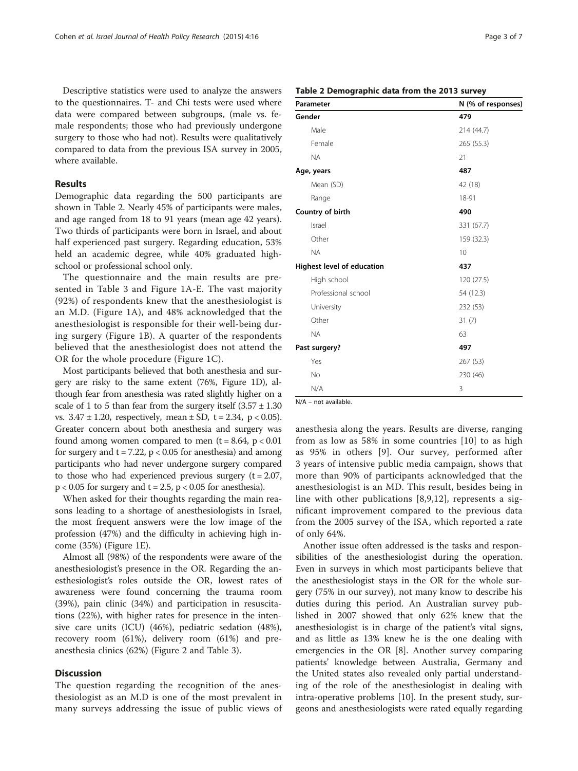<span id="page-2-0"></span>Descriptive statistics were used to analyze the answers to the questionnaires. T- and Chi tests were used where data were compared between subgroups, (male vs. female respondents; those who had previously undergone surgery to those who had not). Results were qualitatively compared to data from the previous ISA survey in 2005, where available.

### Results

Demographic data regarding the 500 participants are shown in Table 2. Nearly 45% of participants were males, and age ranged from 18 to 91 years (mean age 42 years). Two thirds of participants were born in Israel, and about half experienced past surgery. Regarding education, 53% held an academic degree, while 40% graduated highschool or professional school only.

The questionnaire and the main results are presented in Table [3](#page-3-0) and Figure [1](#page-4-0)A-E. The vast majority (92%) of respondents knew that the anesthesiologist is an M.D. (Figure [1](#page-4-0)A), and 48% acknowledged that the anesthesiologist is responsible for their well-being during surgery (Figure [1](#page-4-0)B). A quarter of the respondents believed that the anesthesiologist does not attend the OR for the whole procedure (Figure [1C](#page-4-0)).

Most participants believed that both anesthesia and surgery are risky to the same extent (76%, Figure [1](#page-4-0)D), although fear from anesthesia was rated slightly higher on a scale of 1 to 5 than fear from the surgery itself  $(3.57 \pm 1.30)$ vs.  $3.47 \pm 1.20$ , respectively, mean  $\pm$  SD, t = 2.34, p < 0.05). Greater concern about both anesthesia and surgery was found among women compared to men  $(t = 8.64, p < 0.01)$ for surgery and  $t = 7.22$ ,  $p < 0.05$  for anesthesia) and among participants who had never undergone surgery compared to those who had experienced previous surgery  $(t = 2.07,$  $p < 0.05$  for surgery and  $t = 2.5$ ,  $p < 0.05$  for anesthesia).

When asked for their thoughts regarding the main reasons leading to a shortage of anesthesiologists in Israel, the most frequent answers were the low image of the profession (47%) and the difficulty in achieving high income (35%) (Figure [1](#page-4-0)E).

Almost all (98%) of the respondents were aware of the anesthesiologist's presence in the OR. Regarding the anesthesiologist's roles outside the OR, lowest rates of awareness were found concerning the trauma room (39%), pain clinic (34%) and participation in resuscitations (22%), with higher rates for presence in the intensive care units (ICU) (46%), pediatric sedation (48%), recovery room (61%), delivery room (61%) and preanesthesia clinics (62%) (Figure [2](#page-5-0) and Table [3](#page-3-0)).

# **Discussion**

The question regarding the recognition of the anesthesiologist as an M.D is one of the most prevalent in many surveys addressing the issue of public views of

| Page 3 of |  |  |
|-----------|--|--|
|           |  |  |

|  |  |  |  | Table 2 Demographic data from the 2013 survey |  |  |  |  |  |
|--|--|--|--|-----------------------------------------------|--|--|--|--|--|
|--|--|--|--|-----------------------------------------------|--|--|--|--|--|

| Parameter                  | N (% of responses) |
|----------------------------|--------------------|
| Gender                     | 479                |
| Male                       | 214 (44.7)         |
| Female                     | 265 (55.3)         |
| <b>NA</b>                  | 21                 |
| Age, years                 | 487                |
| Mean (SD)                  | 42 (18)            |
| Range                      | 18-91              |
| Country of birth           | 490                |
| Israel                     | 331 (67.7)         |
| Other                      | 159 (32.3)         |
| <b>NA</b>                  | 10                 |
| Highest level of education | 437                |
| High school                | 120 (27.5)         |
| Professional school        | 54 (12.3)          |
| University                 | 232 (53)           |
| Other                      | 31(7)              |
| <b>NA</b>                  | 63                 |
| Past surgery?              | 497                |
| Yes                        | 267 (53)           |
| <b>No</b>                  | 230 (46)           |
| N/A                        | 3                  |

N/A – not available.

anesthesia along the years. Results are diverse, ranging from as low as 58% in some countries [[10](#page-6-0)] to as high as 95% in others [\[9](#page-6-0)]. Our survey, performed after 3 years of intensive public media campaign, shows that more than 90% of participants acknowledged that the anesthesiologist is an MD. This result, besides being in line with other publications [\[8](#page-6-0),[9,12](#page-6-0)], represents a significant improvement compared to the previous data from the 2005 survey of the ISA, which reported a rate of only 64%.

Another issue often addressed is the tasks and responsibilities of the anesthesiologist during the operation. Even in surveys in which most participants believe that the anesthesiologist stays in the OR for the whole surgery (75% in our survey), not many know to describe his duties during this period. An Australian survey published in 2007 showed that only 62% knew that the anesthesiologist is in charge of the patient's vital signs, and as little as 13% knew he is the one dealing with emergencies in the OR [[8\]](#page-6-0). Another survey comparing patients' knowledge between Australia, Germany and the United states also revealed only partial understanding of the role of the anesthesiologist in dealing with intra-operative problems [\[10](#page-6-0)]. In the present study, surgeons and anesthesiologists were rated equally regarding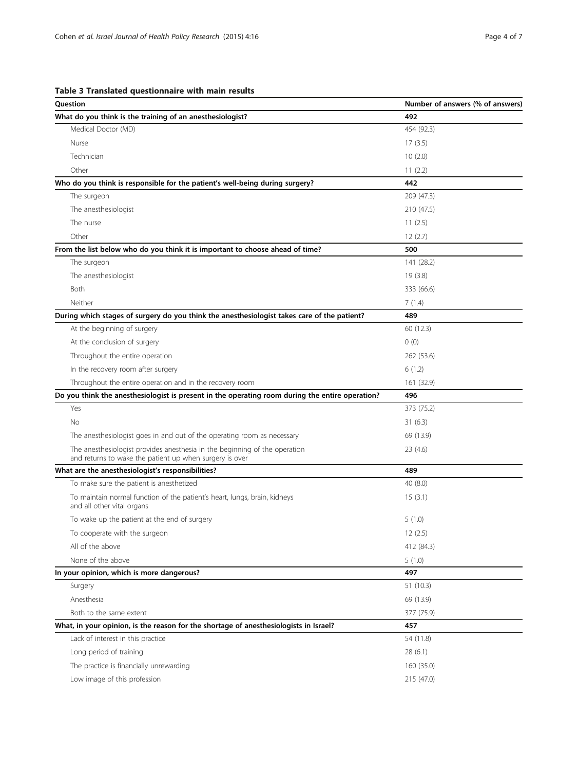<span id="page-3-0"></span>Table 3 Translated questionnaire with main results

| Question                                                                                                                              | Number of answers (% of answers) |
|---------------------------------------------------------------------------------------------------------------------------------------|----------------------------------|
| What do you think is the training of an anesthesiologist?                                                                             | 492                              |
| Medical Doctor (MD)                                                                                                                   | 454 (92.3)                       |
| Nurse                                                                                                                                 | 17(3.5)                          |
| Technician                                                                                                                            | 10(2.0)                          |
| Other                                                                                                                                 | 11(2.2)                          |
| Who do you think is responsible for the patient's well-being during surgery?                                                          | 442                              |
| The surgeon                                                                                                                           | 209 (47.3)                       |
| The anesthesiologist                                                                                                                  | 210 (47.5)                       |
| The nurse                                                                                                                             | 11(2.5)                          |
| Other                                                                                                                                 | 12(2.7)                          |
| From the list below who do you think it is important to choose ahead of time?                                                         | 500                              |
| The surgeon                                                                                                                           | 141 (28.2)                       |
| The anesthesiologist                                                                                                                  | 19(3.8)                          |
| Both                                                                                                                                  | 333 (66.6)                       |
| Neither                                                                                                                               | 7(1.4)                           |
| During which stages of surgery do you think the anesthesiologist takes care of the patient?                                           | 489                              |
| At the beginning of surgery                                                                                                           | 60 (12.3)                        |
| At the conclusion of surgery                                                                                                          | 0(0)                             |
| Throughout the entire operation                                                                                                       | 262 (53.6)                       |
| In the recovery room after surgery                                                                                                    | 6(1.2)                           |
| Throughout the entire operation and in the recovery room                                                                              | 161 (32.9)                       |
| Do you think the anesthesiologist is present in the operating room during the entire operation?                                       | 496                              |
| Yes                                                                                                                                   | 373 (75.2)                       |
| <b>No</b>                                                                                                                             | 31(6.3)                          |
| The anesthesiologist goes in and out of the operating room as necessary                                                               | 69 (13.9)                        |
| The anesthesiologist provides anesthesia in the beginning of the operation<br>and returns to wake the patient up when surgery is over | 23 (4.6)                         |
| What are the anesthesiologist's responsibilities?                                                                                     | 489                              |
| To make sure the patient is anesthetized                                                                                              | 40 (8.0)                         |
| To maintain normal function of the patient's heart, lungs, brain, kidneys<br>and all other vital organs                               | 15(3.1)                          |
| To wake up the patient at the end of surgery                                                                                          | 5(1.0)                           |
| To cooperate with the surgeon                                                                                                         | 12(2.5)                          |
| All of the above                                                                                                                      | 412 (84.3)                       |
| None of the above                                                                                                                     | 5(1.0)                           |
| In your opinion, which is more dangerous?                                                                                             | 497                              |
| Surgery                                                                                                                               | 51 (10.3)                        |
| Anesthesia                                                                                                                            | 69 (13.9)                        |
| Both to the same extent                                                                                                               | 377 (75.9)                       |
| What, in your opinion, is the reason for the shortage of anesthesiologists in Israel?                                                 | 457                              |
| Lack of interest in this practice                                                                                                     | 54 (11.8)                        |
| Long period of training                                                                                                               | 28(6.1)                          |
| The practice is financially unrewarding                                                                                               | 160 (35.0)                       |
| Low image of this profession                                                                                                          | 215 (47.0)                       |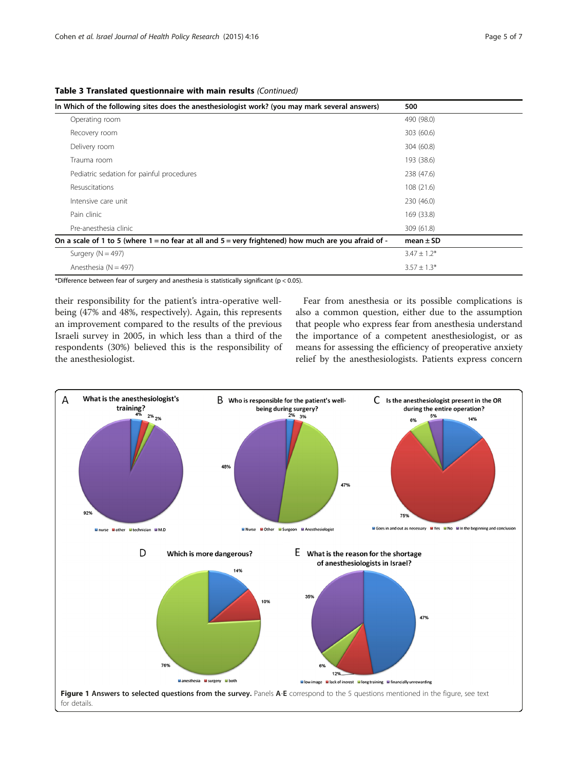<span id="page-4-0"></span>

|  |  |  |  | Table 3 Translated questionnaire with main results (Continued) |
|--|--|--|--|----------------------------------------------------------------|
|--|--|--|--|----------------------------------------------------------------|

| In Which of the following sites does the anesthesiologist work? (you may mark several answers)           | 500              |
|----------------------------------------------------------------------------------------------------------|------------------|
| Operating room                                                                                           | 490 (98.0)       |
| Recovery room                                                                                            | 303 (60.6)       |
| Delivery room                                                                                            | 304 (60.8)       |
| Trauma room                                                                                              | 193 (38.6)       |
| Pediatric sedation for painful procedures                                                                | 238 (47.6)       |
| Resuscitations                                                                                           | 108 (21.6)       |
| Intensive care unit                                                                                      | 230 (46.0)       |
| Pain clinic                                                                                              | 169 (33.8)       |
| Pre-anesthesia clinic                                                                                    | 309 (61.8)       |
| On a scale of 1 to 5 (where $1 =$ no fear at all and $5 =$ very frightened) how much are you afraid of - | mean $\pm$ SD    |
| Surgery ( $N = 497$ )                                                                                    | $3.47 \pm 1.2^*$ |
| Anesthesia ( $N = 497$ )                                                                                 | $3.57 \pm 1.3*$  |

\*Difference between fear of surgery and anesthesia is statistically significant ( $p < 0.05$ ).

their responsibility for the patient's intra-operative wellbeing (47% and 48%, respectively). Again, this represents an improvement compared to the results of the previous Israeli survey in 2005, in which less than a third of the respondents (30%) believed this is the responsibility of the anesthesiologist.

Fear from anesthesia or its possible complications is also a common question, either due to the assumption that people who express fear from anesthesia understand the importance of a competent anesthesiologist, or as means for assessing the efficiency of preoperative anxiety relief by the anesthesiologists. Patients express concern

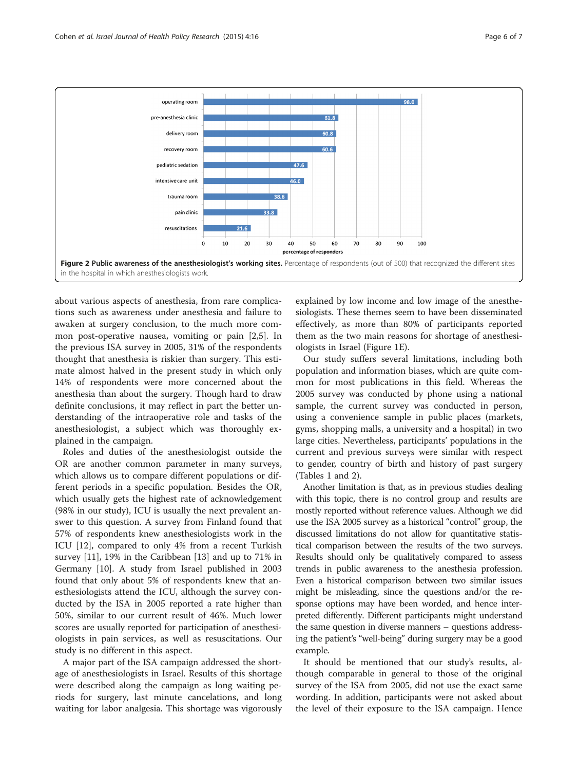<span id="page-5-0"></span>

about various aspects of anesthesia, from rare complications such as awareness under anesthesia and failure to awaken at surgery conclusion, to the much more common post-operative nausea, vomiting or pain [[2](#page-6-0),[5\]](#page-6-0). In the previous ISA survey in 2005, 31% of the respondents thought that anesthesia is riskier than surgery. This estimate almost halved in the present study in which only 14% of respondents were more concerned about the anesthesia than about the surgery. Though hard to draw definite conclusions, it may reflect in part the better understanding of the intraoperative role and tasks of the anesthesiologist, a subject which was thoroughly explained in the campaign.

Roles and duties of the anesthesiologist outside the OR are another common parameter in many surveys, which allows us to compare different populations or different periods in a specific population. Besides the OR, which usually gets the highest rate of acknowledgement (98% in our study), ICU is usually the next prevalent answer to this question. A survey from Finland found that 57% of respondents knew anesthesiologists work in the ICU [\[12](#page-6-0)], compared to only 4% from a recent Turkish survey [\[11](#page-6-0)], 19% in the Caribbean [\[13\]](#page-6-0) and up to 71% in Germany [[10](#page-6-0)]. A study from Israel published in 2003 found that only about 5% of respondents knew that anesthesiologists attend the ICU, although the survey conducted by the ISA in 2005 reported a rate higher than 50%, similar to our current result of 46%. Much lower scores are usually reported for participation of anesthesiologists in pain services, as well as resuscitations. Our study is no different in this aspect.

A major part of the ISA campaign addressed the shortage of anesthesiologists in Israel. Results of this shortage were described along the campaign as long waiting periods for surgery, last minute cancelations, and long waiting for labor analgesia. This shortage was vigorously explained by low income and low image of the anesthesiologists. These themes seem to have been disseminated effectively, as more than 80% of participants reported them as the two main reasons for shortage of anesthesiologists in Israel (Figure [1](#page-4-0)E).

Our study suffers several limitations, including both population and information biases, which are quite common for most publications in this field. Whereas the 2005 survey was conducted by phone using a national sample, the current survey was conducted in person, using a convenience sample in public places (markets, gyms, shopping malls, a university and a hospital) in two large cities. Nevertheless, participants' populations in the current and previous surveys were similar with respect to gender, country of birth and history of past surgery (Tables [1](#page-1-0) and [2\)](#page-2-0).

Another limitation is that, as in previous studies dealing with this topic, there is no control group and results are mostly reported without reference values. Although we did use the ISA 2005 survey as a historical "control" group, the discussed limitations do not allow for quantitative statistical comparison between the results of the two surveys. Results should only be qualitatively compared to assess trends in public awareness to the anesthesia profession. Even a historical comparison between two similar issues might be misleading, since the questions and/or the response options may have been worded, and hence interpreted differently. Different participants might understand the same question in diverse manners – questions addressing the patient's "well-being" during surgery may be a good example.

It should be mentioned that our study's results, although comparable in general to those of the original survey of the ISA from 2005, did not use the exact same wording. In addition, participants were not asked about the level of their exposure to the ISA campaign. Hence